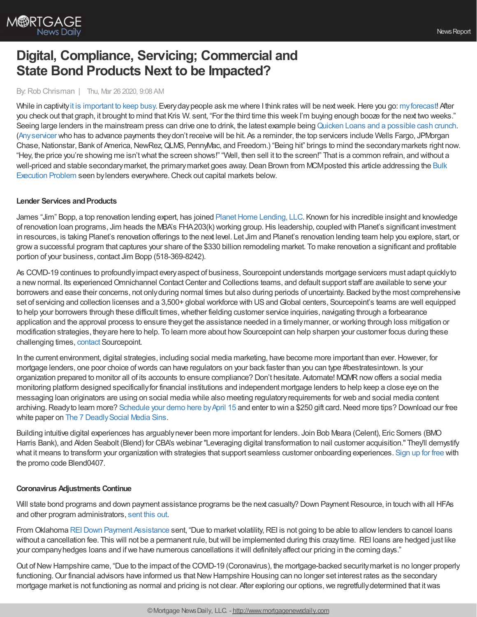

# **Digital, Compliance, Servicing; Commercial and State Bond Products Next to be Impacted?**

#### By: Rob Chrisman | Thu, Mar 26 2020, 9:08 AM

While in captivity it is [important](https://www.youtube.com/watch?v=RZa79QGDeo8) to keep busy. Every day people ask me where I think rates will be next week. Here you go: my forecast! After you check out that graph, it brought to mind that Kris W. sent, "For the third time this week I'm buying enough booze for the next two weeks." Seeing large lenders in the mainstream press can drive one to drink, the latest example being Quicken Loans and a [possible](https://www.freep.com/story/money/business/2020/03/24/coronavirus-covid-19-quicken-loans-temporary-funding/2907948001/?fbclid=IwAR1nxQWSbU-7Kxl5wl5TIoEKDPhy1bH6srV_LixOymX59Qa3eV3M5ZimrSU) cash crunch. [\(Anyservicer](https://news.bloomberglaw.com/banking-law/mortgage-servicers-at-risk-if-virus-persists-fhfa-chief-says) who has to advance payments theydon't receive will be hit. As a reminder, the top servicers include Wells Fargo, JPMorgan Chase, Nationstar, Bank of America, NewRez, QLMS, PennyMac, and Freedom.) "Being hit" brings to mind the secondary markets right now. "Hey, the price you're showing me isn't what the screen shows!" "Well, then sell it to the screen!" That is a common refrain, and without a well-priced and stable secondary market, the primary market goes away. Dean Brown from MCM posted this article addressing the Bulk Execution Problem seen bylenders everywhere.Check out capital markets below.

#### **Lender Services and Products**

James "Jim" Bopp, a top renovation lending expert, has joined Planet Home Lending, LLC. Known for his incredible insight and knowledge of renovation loan programs, Jim heads the MBA's FHA203(k) working group. His leadership, coupled with Planet's significant investment in resources, is taking Planet's renovation offerings to the next level. Let Jim and Planet's renovation lending team help you explore, start, or growa successful program that captures your share of the \$330 billion remodeling market. To make renovation a significant and profitable portion of your business, contact Jim Bopp (518-369-8242).

As COVID-19 continues to profoundlyimpact everyaspect of business, Sourcepoint understands mortgage servicers must adapt quicklyto a new normal. Its experienced Omnichannel Contact Center and Collections teams, and default support staff are available to serve your borrowers and ease their concerns, not onlyduring normal times but also during periods of uncertainty. Backed bythe most comprehensive set of servicing and collection licenses and a 3,500+ global workforce with US and Global centers, Sourcepoint's teams are well equipped to help your borrowers through these difficult times, whether fielding customer service inquiries, navigating through a forbearance application and the approval process to ensure they get the assistance needed in a timely manner, or working through loss mitigation or modification strategies, they are here to help. To learn more about how Sourcepoint can help sharpen your customer focus during these challenging times, [contact](https://www.sourcepointmortgage.com/contact/) Sourcepoint.

In the current environment, digital strategies, including social media marketing, have become more important than ever. However, for mortgage lenders, one poor choice ofwords can have regulators on your back faster than you can type #bestratesintown. Is your organization prepared to monitor all of its accounts to ensure compliance? Don't hesitate. Automate! MQMRnowoffers a social media monitoring platform designed specificallyfor financial institutions and independent mortgage lenders to help keep a close eye on the messaging loan originators are using on social media while also meeting regulatoryrequirements for web and social media content archiving. Ready to learn more? [Schedule](https://meetings.hubspot.com/kschnieders/book-a-meeting-with-mqmr?__hstc=112067035.37b68ae0f45dcbd8c319b79cc748d1f0.1552489429284.1584023911739.1584034354053.467&__hssc=112067035.2.1584034354053&__hsfp=3534294658) your demo here by April 15 and enter to win a \$250 gift card. Need more tips? Download our free white paper on The 7 Deadly Social Media Sins.

Building intuitive digital experiences has arguablynever been more important for lenders. Join Bob Meara (Celent), Eric Somers (BMO Harris Bank), and Alden Seabolt (Blend) for CBA's webinar "Leveraging digital transformation to nail customer acquisition." They'll demystify what it means to transform your organization with strategies that support seamless customer onboarding experiences. [Sign](https://cba.elevate.commpartners.com/p/200407?utm_source=chrisman&utm_medium=email&utm_campaign=cba-webinar-0407) up for free with the promo code Blend0407.

#### **Coronavirus Adjustments Continue**

Will state bond programs and down payment assistance programs be the next casualty? Down Payment Resource, in touch with all HFAs and other program administrators, [sent](https://downpaymentresource.com/the-impact-of-covid-19-on-down-payment-assistance-programs/) this out.

From Oklahoma REI Down Payment [Assistance](https://www.reiok.org/programs/rei-down-payment/) sent, "Due to market volatility, REI is not going to be able to allow lenders to cancel loans without a cancellation fee. This will not be a permanent rule, but will be implemented during this crazy time. REI loans are hedged just like your company hedges loans and if we have numerous cancellations it will definitely affect our pricing in the coming days."

Out of New Hampshire came, "Due to the impact of the COVID-19 (Coronavirus), the mortgage-backed security market is no longer properly functioning. Our financial advisors have informed us that New Hampshire Housing can no longer set interest rates as the secondary mortgage market is not functioning as normal and pricing is not clear. After exploring our options, we regretfully determined that it was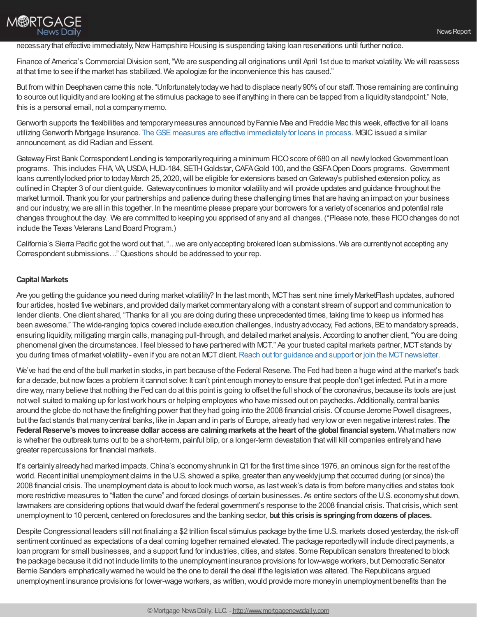## necessary that effective immediately, New Hampshire Housing is suspending taking loan reservations until further notice.

Finance of America's Commercial Division sent, "We are suspending all originations until April 1st due to market volatility. We will reassess at that time to see if the market has stabilized. We apologize for the inconvenience this has caused."

But from within Deephaven came this note. "Unfortunately today we had to displace nearly 90% of our staff. Those remaining are continuing to source out liquidityand are looking at the stimulus package to see if anything in there can be tapped from a liquiditystandpoint." Note, this is a personal email, not a companymemo.

Genworth supports the flexibilities and temporarymeasures announced byFannie Mae and Freddie Mac this week, effective for all loans utilizing Genworth Mortgage Insurance. The GSE measures are effective immediately for loans in process. MGIC issued a similar announcement, as did Radian and Essent.

Gateway First Bank Correspondent Lending is temporarily requiring a minimum FICO score of 680 on all newly locked Government loan programs. This includes FHA, VA,USDA,HUD-184, SETHGoldstar,CAFAGold 100, and theGSFAOpen Doors programs. Government loans currently locked prior to today March 25, 2020, will be eligible for extensions based on Gateway's published extension policy, as outlined in Chapter 3 of our client guide. Gatewaycontinues to monitor volatilityand will provide updates and guidance throughout the market turmoil. Thank you for your partnerships and patience during these challenging times that are having an impact on your business and our industry;we are all in this together. In the meantime please prepare your borrowers for a varietyof scenarios and potential rate changes throughout the day. We are committed to keeping you apprised of anyand all changes. (\*Please note, these FICOchanges do not include the Texas Veterans Land Board Program.)

California's Sierra Pacific got the word out that, "…we are onlyaccepting brokered loan submissions. We are currentlynot accepting any Correspondent submissions…"Questions should be addressed to your rep.

### **Capital Markets**

**M®RTGAGE** 

**News Daily** 

Are you getting the guidance you need during market volatility? In the last month, MCT has sent nine timely MarketFlash updates, authored four articles, hosted five webinars, and provided dailymarket commentaryalong with a constant stream of support and communication to lender clients. One client shared, "Thanks for all you are doing during these unprecedented times, taking time to keep us informed has been awesome." The wide-ranging topics covered include execution challenges, industry advocacy, Fed actions, BE to mandatory spreads, ensuring liquidity, mitigating margin calls, managing pull-through, and detailed market analysis. According to another client, "You are doing phenomenal given the circumstances. I feel blessed to have partnered with MCT." As your trusted capital markets partner, MCTstands by you during times of market volatility - even if you are not an MCT client. Reach out for [guidance](https://mct-trading.us11.list-manage.com/track/click?u=6d306036c17f619a8af7173a5&id=9ac1efdd98&e=143f022368&utm_source=Rob%20Chrisman&utm_medium=Volatility%20Guidance&utm_campaign=Chrisman%20Blurb%20Volatility%20Guidance) and support or join the MCT newsletter.

We've had the end of the bull market in stocks, in part because of the Federal Reserve. The Fed had been a huge wind at the market's back for a decade, but nowfaces a problem it cannot solve: It can't print enough moneyto ensure that people don't get infected. Put in a more dire way, manybelieve that nothing the Fed can do at this point is going to offset the full shock of the coronavirus, because its tools are just notwell suited to making up for lostwork hours or helping employees who have missed out on paychecks. Additionally, central banks around the globe do not have the firefighting power that they had going into the 2008 financial crisis. Of course Jerome Powell disagrees, but the fact stands that manycentral banks, like in Japan and in parts of Europe, alreadyhad verylowor even negative interest rates. **The** Federal Reserve's moves to increase dollar access are calming markets at the heart of the global financial system. What matters now is whether the outbreak turns out to be a short-term, painful blip, or a longer-term devastation thatwill kill companies entirelyand have greater repercussions for financial markets.

It's certainlyalreadyhad marked impacts.China's economyshrunk inQ1 for the first time since 1976, an ominous sign for the rest of the world. Recent initial unemployment claims in the U.S. showed a spike, greater than any weekly jump that occurred during (or since) the 2008 financial crisis. The unemployment data is about to look much worse, as lastweek's data is from before manycities and states took more restrictive measures to "flatten the curve" and forced closings of certain businesses. As entire sectors of the U.S. economyshut down, lawmakers are considering options that would dwarf the federal government's response to the 2008 financial crisis. That crisis, which sent unemployment to 10 percent, centered on foreclosures and the banking sector, **but this crisis is springingfromdozens of places.**

Despite Congressional leaders still not finalizing a \$2 trillion fiscal stimulus package bythe time U.S. markets closed yesterday, the risk-off sentiment continued as expectations of a deal coming together remained elevated. The package reportedlywill include direct payments, a loan program for small businesses, and a support fund for industries, cities, and states. Some Republican senators threatened to block the package because it did not include limits to the unemployment insurance provisions for low-wage workers, but Democratic Senator Bernie Sanders emphaticallywarned he would be the one to derail the deal if the legislation was altered. The Republicans argued unemployment insurance provisions for lower-wage workers, as written, would provide more money in unemployment benefits than the